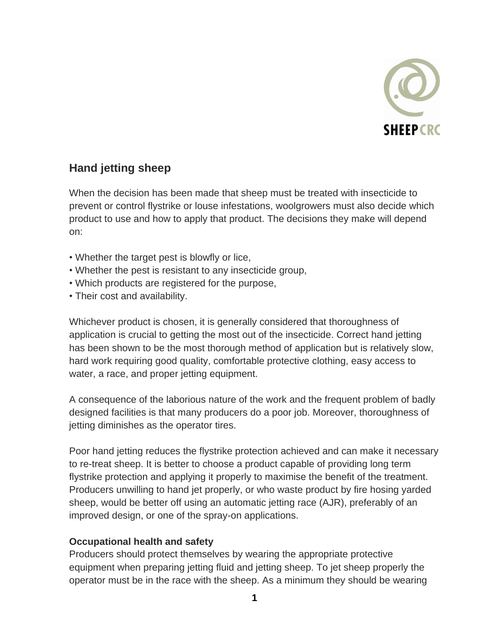

## **Hand jetting sheep**

When the decision has been made that sheep must be treated with insecticide to prevent or control flystrike or louse infestations, woolgrowers must also decide which product to use and how to apply that product. The decisions they make will depend on:

- Whether the target pest is blowfly or lice,
- Whether the pest is resistant to any insecticide group,
- Which products are registered for the purpose,
- Their cost and availability.

Whichever product is chosen, it is generally considered that thoroughness of application is crucial to getting the most out of the insecticide. Correct hand jetting has been shown to be the most thorough method of application but is relatively slow, hard work requiring good quality, comfortable protective clothing, easy access to water, a race, and proper jetting equipment.

A consequence of the laborious nature of the work and the frequent problem of badly designed facilities is that many producers do a poor job. Moreover, thoroughness of jetting diminishes as the operator tires.

Poor hand jetting reduces the flystrike protection achieved and can make it necessary to re-treat sheep. It is better to choose a product capable of providing long term flystrike protection and applying it properly to maximise the benefit of the treatment. Producers unwilling to hand jet properly, or who waste product by fire hosing yarded sheep, would be better off using an automatic jetting race (AJR), preferably of an improved design, or one of the spray-on applications.

## **Occupational health and safety**

Producers should protect themselves by wearing the appropriate protective equipment when preparing jetting fluid and jetting sheep. To jet sheep properly the operator must be in the race with the sheep. As a minimum they should be wearing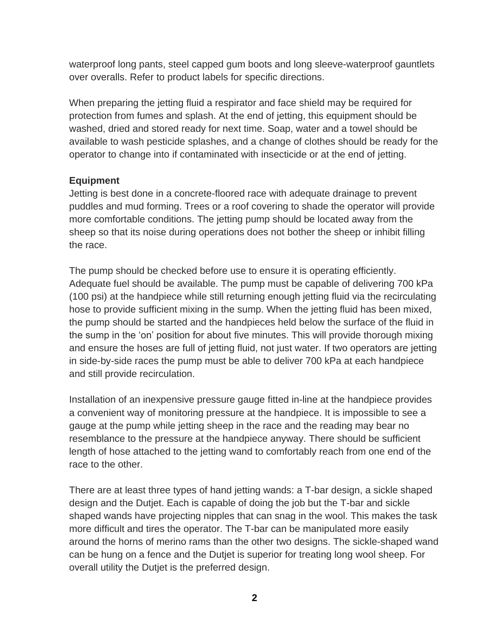waterproof long pants, steel capped gum boots and long sleeve-waterproof gauntlets over overalls. Refer to product labels for specific directions.

When preparing the jetting fluid a respirator and face shield may be required for protection from fumes and splash. At the end of jetting, this equipment should be washed, dried and stored ready for next time. Soap, water and a towel should be available to wash pesticide splashes, and a change of clothes should be ready for the operator to change into if contaminated with insecticide or at the end of jetting.

## **Equipment**

Jetting is best done in a concrete-floored race with adequate drainage to prevent puddles and mud forming. Trees or a roof covering to shade the operator will provide more comfortable conditions. The jetting pump should be located away from the sheep so that its noise during operations does not bother the sheep or inhibit filling the race.

The pump should be checked before use to ensure it is operating efficiently. Adequate fuel should be available. The pump must be capable of delivering 700 kPa (100 psi) at the handpiece while still returning enough jetting fluid via the recirculating hose to provide sufficient mixing in the sump. When the jetting fluid has been mixed, the pump should be started and the handpieces held below the surface of the fluid in the sump in the 'on' position for about five minutes. This will provide thorough mixing and ensure the hoses are full of jetting fluid, not just water. If two operators are jetting in side-by-side races the pump must be able to deliver 700 kPa at each handpiece and still provide recirculation.

Installation of an inexpensive pressure gauge fitted in-line at the handpiece provides a convenient way of monitoring pressure at the handpiece. It is impossible to see a gauge at the pump while jetting sheep in the race and the reading may bear no resemblance to the pressure at the handpiece anyway. There should be sufficient length of hose attached to the jetting wand to comfortably reach from one end of the race to the other.

There are at least three types of hand jetting wands: a T-bar design, a sickle shaped design and the Dutjet. Each is capable of doing the job but the T-bar and sickle shaped wands have projecting nipples that can snag in the wool. This makes the task more difficult and tires the operator. The T-bar can be manipulated more easily around the horns of merino rams than the other two designs. The sickle-shaped wand can be hung on a fence and the Dutjet is superior for treating long wool sheep. For overall utility the Dutjet is the preferred design.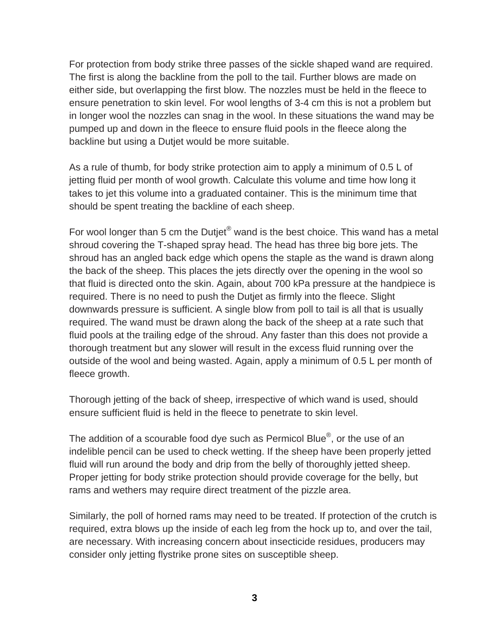For protection from body strike three passes of the sickle shaped wand are required. The first is along the backline from the poll to the tail. Further blows are made on either side, but overlapping the first blow. The nozzles must be held in the fleece to ensure penetration to skin level. For wool lengths of 3-4 cm this is not a problem but in longer wool the nozzles can snag in the wool. In these situations the wand may be pumped up and down in the fleece to ensure fluid pools in the fleece along the backline but using a Dutjet would be more suitable.

As a rule of thumb, for body strike protection aim to apply a minimum of 0.5 L of jetting fluid per month of wool growth. Calculate this volume and time how long it takes to jet this volume into a graduated container. This is the minimum time that should be spent treating the backline of each sheep.

For wool longer than 5 cm the Dutjet<sup>®</sup> wand is the best choice. This wand has a metal shroud covering the T-shaped spray head. The head has three big bore jets. The shroud has an angled back edge which opens the staple as the wand is drawn along the back of the sheep. This places the jets directly over the opening in the wool so that fluid is directed onto the skin. Again, about 700 kPa pressure at the handpiece is required. There is no need to push the Dutjet as firmly into the fleece. Slight downwards pressure is sufficient. A single blow from poll to tail is all that is usually required. The wand must be drawn along the back of the sheep at a rate such that fluid pools at the trailing edge of the shroud. Any faster than this does not provide a thorough treatment but any slower will result in the excess fluid running over the outside of the wool and being wasted. Again, apply a minimum of 0.5 L per month of fleece growth.

Thorough jetting of the back of sheep, irrespective of which wand is used, should ensure sufficient fluid is held in the fleece to penetrate to skin level.

The addition of a scourable food dye such as Permicol Blue®, or the use of an indelible pencil can be used to check wetting. If the sheep have been properly jetted fluid will run around the body and drip from the belly of thoroughly jetted sheep. Proper jetting for body strike protection should provide coverage for the belly, but rams and wethers may require direct treatment of the pizzle area.

Similarly, the poll of horned rams may need to be treated. If protection of the crutch is required, extra blows up the inside of each leg from the hock up to, and over the tail, are necessary. With increasing concern about insecticide residues, producers may consider only jetting flystrike prone sites on susceptible sheep.